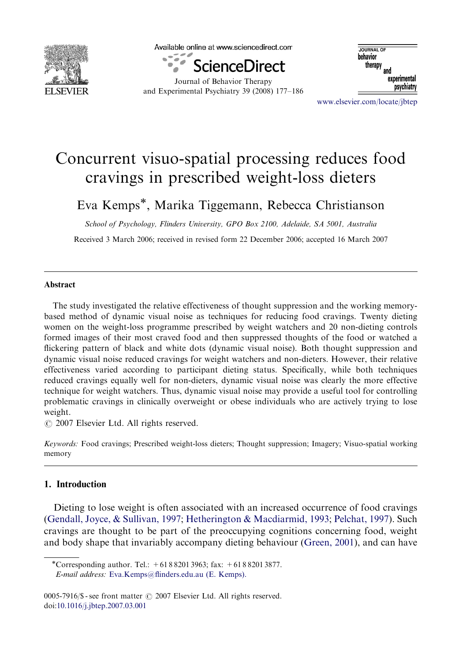

Available online at www.sciencedirect.com



Journal of Behavior Therapy and Experimental Psychiatry 39 (2008) 177–186

**IQUENAL OF** behavior therapy and experimental psychiatry

<www.elsevier.com/locate/jbtep>

## Concurrent visuo-spatial processing reduces food cravings in prescribed weight-loss dieters

Eva Kemps<sup>\*</sup>, Marika Tiggemann, Rebecca Christianson

School of Psychology, Flinders University, GPO Box 2100, Adelaide, SA 5001, Australia

Received 3 March 2006; received in revised form 22 December 2006; accepted 16 March 2007

## Abstract

The study investigated the relative effectiveness of thought suppression and the working memorybased method of dynamic visual noise as techniques for reducing food cravings. Twenty dieting women on the weight-loss programme prescribed by weight watchers and 20 non-dieting controls formed images of their most craved food and then suppressed thoughts of the food or watched a flickering pattern of black and white dots (dynamic visual noise). Both thought suppression and dynamic visual noise reduced cravings for weight watchers and non-dieters. However, their relative effectiveness varied according to participant dieting status. Specifically, while both techniques reduced cravings equally well for non-dieters, dynamic visual noise was clearly the more effective technique for weight watchers. Thus, dynamic visual noise may provide a useful tool for controlling problematic cravings in clinically overweight or obese individuals who are actively trying to lose weight.

 $\odot$  2007 Elsevier Ltd. All rights reserved.

Keywords: Food cravings; Prescribed weight-loss dieters; Thought suppression; Imagery; Visuo-spatial working memory

## 1. Introduction

Dieting to lose weight is often associated with an increased occurrence of food cravings ([Gendall, Joyce,](#page--1-0) [& Sullivan, 1997](#page--1-0); [Hetherington & Macdiarmid, 1993;](#page--1-0) [Pelchat, 1997](#page--1-0)). Such cravings are thought to be part of the preoccupying cognitions concerning food, weight and body shape that invariably accompany dieting behaviour ([Green, 2001](#page--1-0)), and can have

<sup>-</sup>Corresponding author. Tel.: +61 8 8201 3963; fax: +61 8 8201 3877. E-mail address: [Eva.Kemps@flinders.edu.au \(E. Kemps\).](mailto:Eva.Kemps@flinders.edu.au)

 $0005-7916/\$  - see front matter  $\odot$  2007 Elsevier Ltd. All rights reserved. doi[:10.1016/j.jbtep.2007.03.001](dx.doi.org/10.1016/j.jbtep.2007.03.001)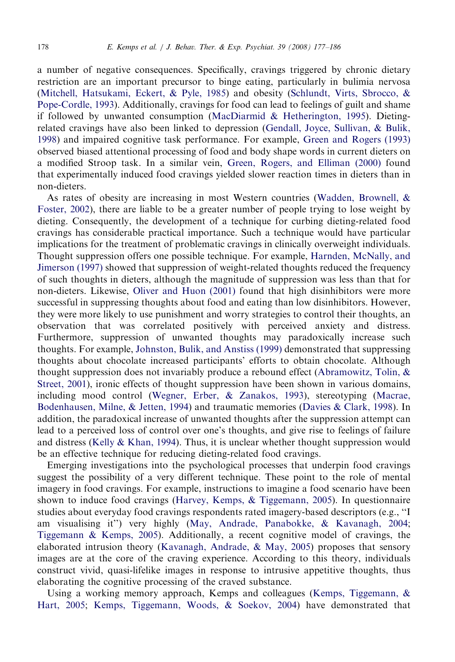a number of negative consequences. Specifically, cravings triggered by chronic dietary restriction are an important precursor to binge eating, particularly in bulimia nervosa ([Mitchell, Hatsukami, Eckert, & Pyle, 1985](#page--1-0)) and obesity [\(Schlundt, Virts, Sbrocco, &](#page--1-0) [Pope-Cordle, 1993](#page--1-0)). Additionally, cravings for food can lead to feelings of guilt and shame if followed by unwanted consumption ([MacDiarmid](#page--1-0) [& Hetherington, 1995](#page--1-0)). Dietingrelated cravings have also been linked to depression [\(Gendall, Joyce, Sullivan,](#page--1-0) & [Bulik,](#page--1-0) [1998](#page--1-0)) and impaired cognitive task performance. For example, [Green and Rogers \(1993\)](#page--1-0) observed biased attentional processing of food and body shape words in current dieters on a modified Stroop task. In a similar vein, [Green, Rogers, and Elliman \(2000\)](#page--1-0) found that experimentally induced food cravings yielded slower reaction times in dieters than in non-dieters.

As rates of obesity are increasing in most Western countries [\(Wadden, Brownell, &](#page--1-0) [Foster, 2002](#page--1-0)), there are liable to be a greater number of people trying to lose weight by dieting. Consequently, the development of a technique for curbing dieting-related food cravings has considerable practical importance. Such a technique would have particular implications for the treatment of problematic cravings in clinically overweight individuals. Thought suppression offers one possible technique. For example, [Harnden, McNally, and](#page--1-0) [Jimerson \(1997\)](#page--1-0) showed that suppression of weight-related thoughts reduced the frequency of such thoughts in dieters, although the magnitude of suppression was less than that for non-dieters. Likewise, [Oliver and Huon \(2001\)](#page--1-0) found that high disinhibitors were more successful in suppressing thoughts about food and eating than low disinhibitors. However, they were more likely to use punishment and worry strategies to control their thoughts, an observation that was correlated positively with perceived anxiety and distress. Furthermore, suppression of unwanted thoughts may paradoxically increase such thoughts. For example, [Johnston, Bulik, and Anstiss \(1999\)](#page--1-0) demonstrated that suppressing thoughts about chocolate increased participants' efforts to obtain chocolate. Although thought suppression does not invariably produce a rebound effect ([Abramowitz, Tolin, &](#page--1-0) [Street, 2001](#page--1-0)), ironic effects of thought suppression have been shown in various domains, including mood control [\(Wegner, Erber,](#page--1-0) & [Zanakos, 1993](#page--1-0)), stereotyping [\(Macrae,](#page--1-0) [Bodenhausen, Milne,](#page--1-0) & [Jetten, 1994](#page--1-0)) and traumatic memories [\(Davies](#page--1-0) & [Clark, 1998\)](#page--1-0). In addition, the paradoxical increase of unwanted thoughts after the suppression attempt can lead to a perceived loss of control over one's thoughts, and give rise to feelings of failure and distress ([Kelly & Khan, 1994\)](#page--1-0). Thus, it is unclear whether thought suppression would be an effective technique for reducing dieting-related food cravings.

Emerging investigations into the psychological processes that underpin food cravings suggest the possibility of a very different technique. These point to the role of mental imagery in food cravings. For example, instructions to imagine a food scenario have been shown to induce food cravings ([Harvey, Kemps,](#page--1-0) [& Tiggemann, 2005](#page--1-0)). In questionnaire studies about everyday food cravings respondents rated imagery-based descriptors (e.g., ''I am visualising it'') very highly [\(May, Andrade, Panabokke, & Kavanagh, 2004;](#page--1-0) [Tiggemann & Kemps, 2005](#page--1-0)). Additionally, a recent cognitive model of cravings, the elaborated intrusion theory [\(Kavanagh, Andrade, & May, 2005](#page--1-0)) proposes that sensory images are at the core of the craving experience. According to this theory, individuals construct vivid, quasi-lifelike images in response to intrusive appetitive thoughts, thus elaborating the cognitive processing of the craved substance.

Using a working memory approach, Kemps and colleagues ([Kemps, Tiggemann, &](#page--1-0) [Hart, 2005;](#page--1-0) [Kemps, Tiggemann, Woods,](#page--1-0) & [Soekov, 2004](#page--1-0)) have demonstrated that